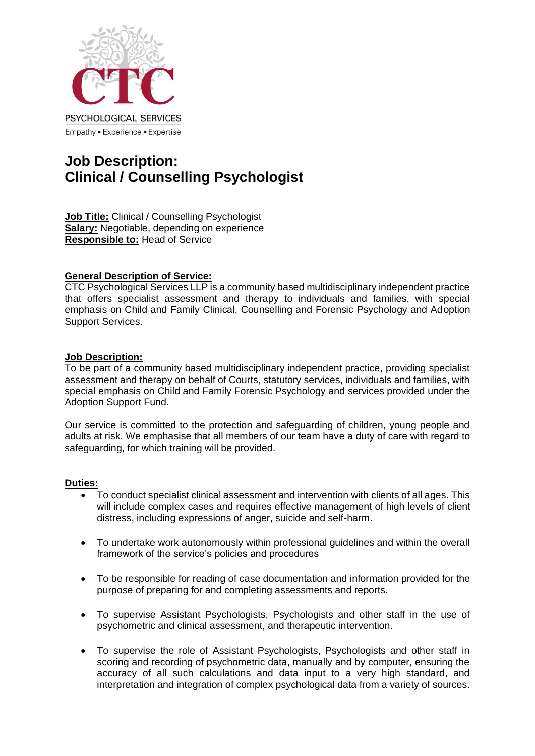

# **Job Description: Clinical / Counselling Psychologist**

**Job Title:** Clinical / Counselling Psychologist **Salary:** Negotiable, depending on experience **Responsible to:** Head of Service

## **General Description of Service:**

CTC Psychological Services LLP is a community based multidisciplinary independent practice that offers specialist assessment and therapy to individuals and families, with special emphasis on Child and Family Clinical, Counselling and Forensic Psychology and Adoption Support Services.

## **Job Description:**

To be part of a community based multidisciplinary independent practice, providing specialist assessment and therapy on behalf of Courts, statutory services, individuals and families, with special emphasis on Child and Family Forensic Psychology and services provided under the Adoption Support Fund.

Our service is committed to the protection and safeguarding of children, young people and adults at risk. We emphasise that all members of our team have a duty of care with regard to safeguarding, for which training will be provided.

## **Duties:**

- To conduct specialist clinical assessment and intervention with clients of all ages. This will include complex cases and requires effective management of high levels of client distress, including expressions of anger, suicide and self-harm.
- To undertake work autonomously within professional guidelines and within the overall framework of the service's policies and procedures
- To be responsible for reading of case documentation and information provided for the purpose of preparing for and completing assessments and reports.
- To supervise Assistant Psychologists, Psychologists and other staff in the use of psychometric and clinical assessment, and therapeutic intervention.
- To supervise the role of Assistant Psychologists, Psychologists and other staff in scoring and recording of psychometric data, manually and by computer, ensuring the accuracy of all such calculations and data input to a very high standard, and interpretation and integration of complex psychological data from a variety of sources.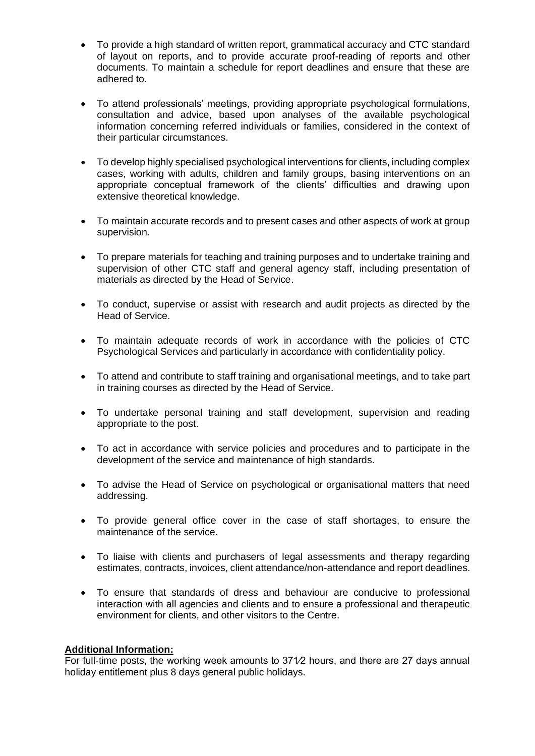- To provide a high standard of written report, grammatical accuracy and CTC standard of layout on reports, and to provide accurate proof-reading of reports and other documents. To maintain a schedule for report deadlines and ensure that these are adhered to.
- To attend professionals' meetings, providing appropriate psychological formulations, consultation and advice, based upon analyses of the available psychological information concerning referred individuals or families, considered in the context of their particular circumstances.
- To develop highly specialised psychological interventions for clients, including complex cases, working with adults, children and family groups, basing interventions on an appropriate conceptual framework of the clients' difficulties and drawing upon extensive theoretical knowledge.
- To maintain accurate records and to present cases and other aspects of work at group supervision.
- To prepare materials for teaching and training purposes and to undertake training and supervision of other CTC staff and general agency staff, including presentation of materials as directed by the Head of Service.
- To conduct, supervise or assist with research and audit projects as directed by the Head of Service.
- To maintain adequate records of work in accordance with the policies of CTC Psychological Services and particularly in accordance with confidentiality policy.
- To attend and contribute to staff training and organisational meetings, and to take part in training courses as directed by the Head of Service.
- To undertake personal training and staff development, supervision and reading appropriate to the post.
- To act in accordance with service policies and procedures and to participate in the development of the service and maintenance of high standards.
- To advise the Head of Service on psychological or organisational matters that need addressing.
- To provide general office cover in the case of staff shortages, to ensure the maintenance of the service.
- To liaise with clients and purchasers of legal assessments and therapy regarding estimates, contracts, invoices, client attendance/non-attendance and report deadlines.
- To ensure that standards of dress and behaviour are conducive to professional interaction with all agencies and clients and to ensure a professional and therapeutic environment for clients, and other visitors to the Centre.

#### **Additional Information:**

For full-time posts, the working week amounts to 371⁄2 hours, and there are 27 days annual holiday entitlement plus 8 days general public holidays.